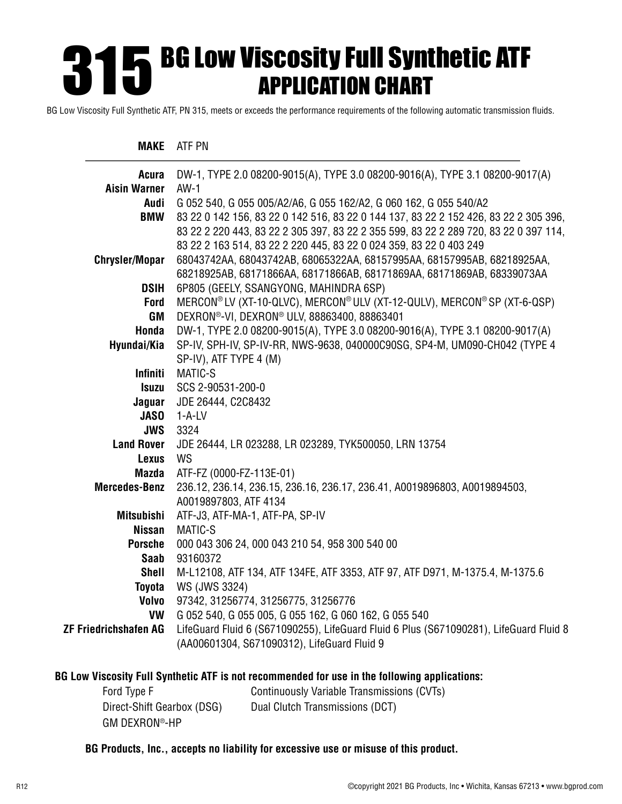# **315 BG LOW VISCOSITY FUIL Synthetic ATF**<br>APPLICATION CHART APPLICATION CHART

BG Low Viscosity Full Synthetic ATF, PN 315, meets or exceeds the performance requirements of the following automatic transmission fluids.

#### **MAKE** ATF PN

| Acura                        | DW-1, TYPE 2.0 08200-9015(A), TYPE 3.0 08200-9016(A), TYPE 3.1 08200-9017(A)           |
|------------------------------|----------------------------------------------------------------------------------------|
| <b>Aisin Warner</b>          | $AW-1$                                                                                 |
| Audi                         | G 052 540, G 055 005/A2/A6, G 055 162/A2, G 060 162, G 055 540/A2                      |
| <b>BMW</b>                   | 83 22 0 142 156, 83 22 0 142 516, 83 22 0 144 137, 83 22 2 152 426, 83 22 2 305 396,   |
|                              | 83 22 2 220 443, 83 22 2 305 397, 83 22 2 355 599, 83 22 2 289 720, 83 22 0 397 114,   |
|                              | 83 22 2 163 514, 83 22 2 220 445, 83 22 0 024 359, 83 22 0 403 249                     |
| <b>Chrysler/Mopar</b>        | 68043742AA, 68043742AB, 68065322AA, 68157995AA, 68157995AB, 68218925AA,                |
|                              | 68218925AB, 68171866AA, 68171866AB, 68171869AA, 68171869AB, 68339073AA                 |
| <b>DSIH</b>                  | 6P805 (GEELY, SSANGYONG, MAHINDRA 6SP)                                                 |
| <b>Ford</b>                  | MERCON® LV (XT-10-QLVC), MERCON® ULV (XT-12-QULV), MERCON® SP (XT-6-QSP)               |
| GM                           | DEXRON®-VI, DEXRON® ULV, 88863400, 88863401                                            |
| Honda                        | DW-1, TYPE 2.0 08200-9015(A), TYPE 3.0 08200-9016(A), TYPE 3.1 08200-9017(A)           |
| Hyundai/Kia                  | SP-IV, SPH-IV, SP-IV-RR, NWS-9638, 040000C90SG, SP4-M, UM090-CH042 (TYPE 4             |
|                              | SP-IV), ATF TYPE 4 (M)                                                                 |
| <b>Infiniti</b>              | MATIC-S                                                                                |
| <b>Isuzu</b>                 | SCS 2-90531-200-0                                                                      |
| Jaguar                       | JDE 26444, C2C8432                                                                     |
| <b>JASO</b>                  | 1-A-LV                                                                                 |
| <b>JWS</b>                   | 3324                                                                                   |
| <b>Land Rover</b>            | JDE 26444, LR 023288, LR 023289, TYK500050, LRN 13754                                  |
| <b>Lexus</b>                 | <b>WS</b>                                                                              |
| <b>Mazda</b>                 | ATF-FZ (0000-FZ-113E-01)                                                               |
| <b>Mercedes-Benz</b>         | 236.12, 236.14, 236.15, 236.16, 236.17, 236.41, A0019896803, A0019894503,              |
|                              | A0019897803, ATF 4134                                                                  |
| <b>Mitsubishi</b>            | ATF-J3, ATF-MA-1, ATF-PA, SP-IV                                                        |
| <b>Nissan</b>                | MATIC-S                                                                                |
| <b>Porsche</b>               | 000 043 306 24, 000 043 210 54, 958 300 540 00                                         |
| Saab                         | 93160372                                                                               |
| <b>Shell</b>                 | M-L12108, ATF 134, ATF 134FE, ATF 3353, ATF 97, ATF D971, M-1375.4, M-1375.6           |
| <b>Toyota</b>                | WS (JWS 3324)                                                                          |
| Volvo                        | 97342, 31256774, 31256775, 31256776                                                    |
| <b>VW</b>                    | G 052 540, G 055 005, G 055 162, G 060 162, G 055 540                                  |
| <b>ZF Friedrichshafen AG</b> | LifeGuard Fluid 6 (S671090255), LifeGuard Fluid 6 Plus (S671090281), LifeGuard Fluid 8 |
|                              | (AA00601304, S671090312), LifeGuard Fluid 9                                            |
|                              |                                                                                        |

#### **BG Low Viscosity Full Synthetic ATF is not recommended for use in the following applications:**

| Ford Type F                | Continuously Variable Transmissions (CVTs) |
|----------------------------|--------------------------------------------|
| Direct-Shift Gearbox (DSG) | Dual Clutch Transmissions (DCT)            |
| GM DEXRON®-HP              |                                            |

#### **BG Products, Inc., accepts no liability for excessive use or misuse of this product.**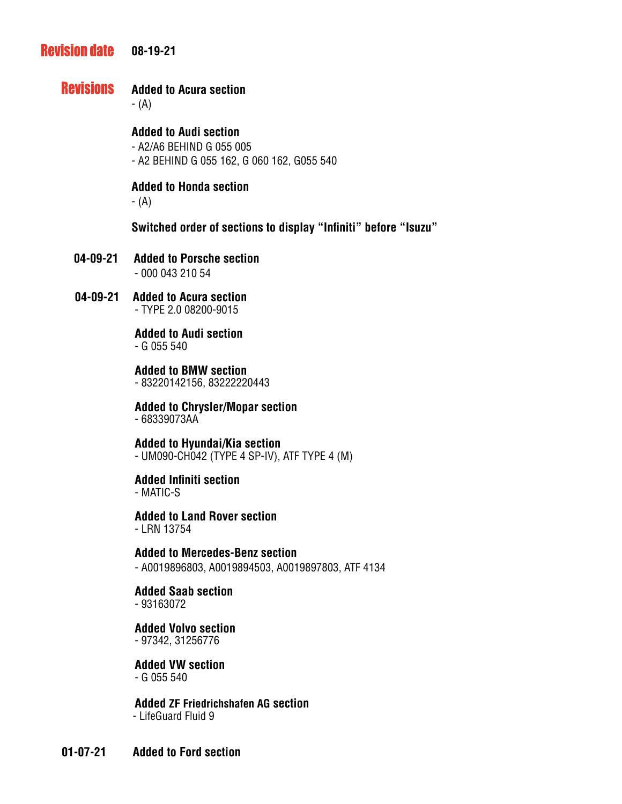#### **Revision date 08-19-21**

#### **Revisions Added to Acura section**

- (A)

## **Added to Audi section**

- A2/A6 BEHIND G 055 005

- A2 BEHIND G 055 162, G 060 162, G055 540

## **Added to Honda section**

- (A)

**Switched order of sections to display "Infiniti" before "Isuzu"**

- **04-09-21 Added to Porsche section** - 000 043 210 54
- **04-09-21 Added to Acura section** - TYPE 2.0 08200-9015

## **Added to Audi section**

- G 055 540

**Added to BMW section**

- 83220142156, 83222220443

# **Added to Chrysler/Mopar section**

- 68339073AA

#### **Added to Hyundai/Kia section** - UM090-CH042 (TYPE 4 SP-IV), ATF TYPE 4 (M)

# **Added Infiniti section**

- MATIC-S

**Added to Land Rover section** - LRN 13754

**Added to Mercedes-Benz section** - A0019896803, A0019894503, A0019897803, ATF 4134

**Added Saab section** - 93163072

**Added Volvo section** - 97342, 31256776

**Added VW section** - G 055 540

 **Added ZF Friedrichshafen AG section** - LifeGuard Fluid 9

**01-07-21 Added to Ford section**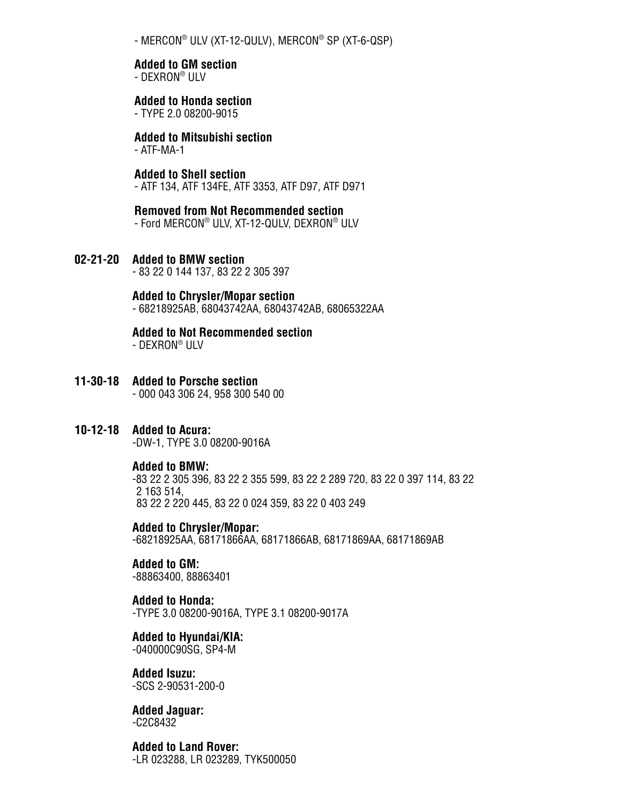- MERCON® ULV (XT-12-QULV), MERCON® SP (XT-6-QSP)

#### **Added to GM section**

- DEXRON® ULV

#### **Added to Honda section**

- TYPE 2.0 08200-9015

# **Added to Mitsubishi section**

- ATF-MA-1

#### **Added to Shell section**

- ATF 134, ATF 134FE, ATF 3353, ATF D97, ATF D971

#### **Removed from Not Recommended section** - Ford MERCON® ULV, XT-12-QULV, DEXRON® ULV

- 
- **02-21-20 Added to BMW section**  83 22 0 144 137, 83 22 2 305 397

#### **Added to Chrysler/Mopar section**

- 68218925AB, 68043742AA, 68043742AB, 68065322AA

#### **Added to Not Recommended section**

- DEXRON® ULV

**11-30-18 Added to Porsche section** - 000 043 306 24, 958 300 540 00

#### **10-12-18 Added to Acura:** -DW-1, TYPE 3.0 08200-9016A

#### **Added to BMW:**

 -83 22 2 305 396, 83 22 2 355 599, 83 22 2 289 720, 83 22 0 397 114, 83 22 2 163 514, 83 22 2 220 445, 83 22 0 024 359, 83 22 0 403 249

 **Added to Chrysler/Mopar:** -68218925AA, 68171866AA, 68171866AB, 68171869AA, 68171869AB

#### **Added to GM:** -88863400, 88863401

 **Added to Honda:** -TYPE 3.0 08200-9016A, TYPE 3.1 08200-9017A

#### **Added to Hyundai/KIA:**

-040000C90SG, SP4-M

#### **Added Isuzu:** -SCS 2-90531-200-0

**Added Jaguar:** -C2C8432

# **Added to Land Rover:**

-LR 023288, LR 023289, TYK500050